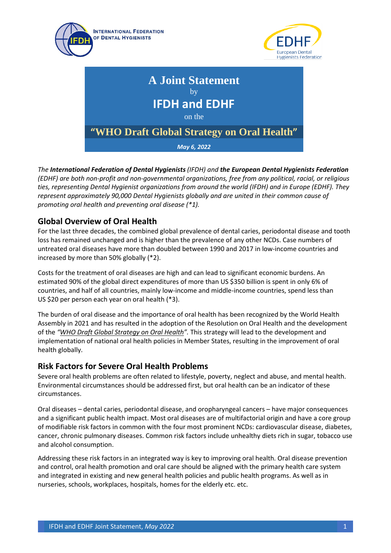





*The International Federation of Dental Hygienists (IFDH) and the European Dental Hygienists Federation (EDHF) are both non-profit and non-governmental organizations, free from any political, racial, or religious ties, representing Dental Hygienist organizations from around the world (IFDH) and in Europe (EDHF). They represent approximately 90,000 Dental Hygienists globally and are united in their common cause of promoting oral health and preventing oral disease (\*1).*

## **Global Overview of Oral Health**

For the last three decades, the combined global prevalence of dental caries, periodontal disease and tooth loss has remained unchanged and is higher than the prevalence of any other NCDs. Case numbers of untreated oral diseases have more than doubled between 1990 and 2017 in low-income countries and increased by more than 50% globally (\*2).

Costs for the treatment of oral diseases are high and can lead to significant economic burdens. An estimated 90% of the global direct expenditures of more than US \$350 billion is spent in only 6% of countries, and half of all countries, mainly low-income and middle-income countries, spend less than US \$20 per person each year on oral health (\*3).

The burden of oral disease and the importance of oral health has been recognized by the World Health Assembly in 2021 and has resulted in the adoption of the Resolution on Oral Health and the development of the *["WHO Draft Global Strategy on Oral Health"](https://cdn.who.int/media/docs/default-source/searo/india/health-topic-pdf/noncommunicable-diseases/draft-discussion-paper--annex-3-(global-strategy-on-oral-health)-.pdf?sfvrsn=aa03ca5b_1&download=true).* This strategy will lead to the development and implementation of national oral health policies in Member States, resulting in the improvement of oral health globally.

#### **Risk Factors for Severe Oral Health Problems**

Severe oral health problems are often related to lifestyle, poverty, neglect and abuse, and mental health. Environmental circumstances should be addressed first, but oral health can be an indicator of these circumstances.

Oral diseases – dental caries, periodontal disease, and oropharyngeal cancers – have major consequences and a significant public health impact. Most oral diseases are of multifactorial origin and have a core group of modifiable risk factors in common with the four most prominent NCDs: cardiovascular disease, diabetes, cancer, chronic pulmonary diseases. Common risk factors include unhealthy diets rich in sugar, tobacco use and alcohol consumption.

Addressing these risk factors in an integrated way is key to improving oral health. Oral disease prevention and control, oral health promotion and oral care should be aligned with the primary health care system and integrated in existing and new general health policies and public health programs. As well as in nurseries, schools, workplaces, hospitals, homes for the elderly etc. etc.